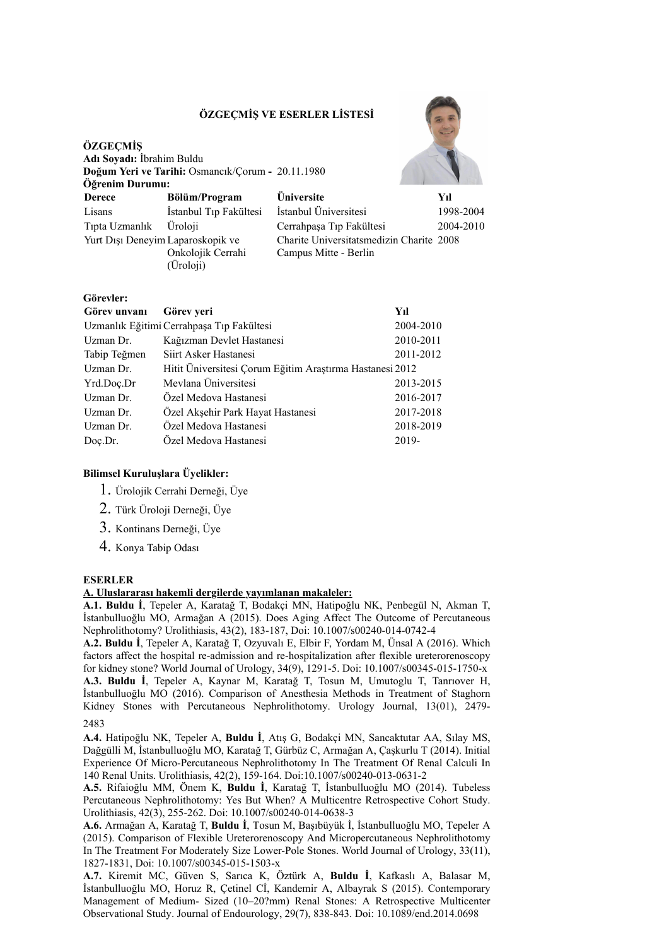# **ÖZGEÇMİŞ VE ESERLER LİSTESİ**



| Öğrenim Durumu:                   |                                          |                                                                   |           |  |
|-----------------------------------|------------------------------------------|-------------------------------------------------------------------|-----------|--|
| <b>Derece</b>                     | Bölüm/Program                            | <b>Üniversite</b>                                                 | Yıl       |  |
| Lisans                            | İstanbul Tıp Fakültesi                   | İstanbul Üniversitesi                                             | 1998-2004 |  |
| Tipta Uzmanlık                    | <b>Uroloji</b>                           | Cerrahpaşa Tıp Fakültesi                                          | 2004-2010 |  |
| Yurt Dışı Deneyim Laparoskopik ve | Onkolojik Cerrahi<br>$(\ddot{U}$ roloji) | Charite Universitatsmedizin Charite 2008<br>Campus Mitte - Berlin |           |  |

| Görevler:    |                                                          |           |
|--------------|----------------------------------------------------------|-----------|
| Görev unvanı | Görev yeri                                               | Yıl       |
|              | Uzmanlık Eğitimi Cerrahpaşa Tıp Fakültesi                | 2004-2010 |
| Uzman Dr.    | Kağızman Devlet Hastanesi                                | 2010-2011 |
| Tabip Teğmen | Siirt Asker Hastanesi                                    | 2011-2012 |
| Uzman Dr.    | Hitit Universitesi Çorum Eğitim Araştırma Hastanesi 2012 |           |
| Yrd.Doc.Dr   | Mevlana Üniversitesi                                     | 2013-2015 |
| Uzman Dr.    | Ozel Medova Hastanesi                                    | 2016-2017 |
| Uzman Dr     | Özel Akşehir Park Hayat Hastanesi                        | 2017-2018 |
| Uzman Dr.    | Özel Medova Hastanesi                                    | 2018-2019 |
| Doc.Dr.      | Ozel Medova Hastanesi                                    | 2019-     |

## **Bilimsel Kuruluşlara Üyelikler:**

- 1. Ürolojik Cerrahi Derneği, Üye
- 2. Türk Üroloji Derneği, Üye
- 3. Kontinans Derneği, Üye
- 4. Konya Tabip Odası

## **ESERLER**

**ÖZGEÇMİŞ**

**Adı Soyadı:** İbrahim Buldu

**Doğum Yeri ve Tarihi:** Osmancık/Çorum **-** 20.11.1980

## **A. Uluslararası hakemli dergilerde yayımlanan makaleler:**

**A.1. Buldu İ**, Tepeler A, Karatağ T, Bodakçi MN, Hatipoğlu NK, Penbegül N, Akman T, İstanbulluoğlu MO, Armağan A (2015). Does Aging Affect The Outcome of Percutaneous Nephrolithotomy? Urolithiasis, 43(2), 183-187, Doi: 10.1007/s00240-014-0742-4

**A.2. Buldu İ**, Tepeler A, Karatağ T, Ozyuvalı E, Elbir F, Yordam M, Ünsal A (2016). Which factors affect the hospital re-admission and re-hospitalization after flexible ureterorenoscopy for kidney stone? World Journal of Urology, 34(9), 1291-5. Doi: 10.1007/s00345-015-1750-x **A.3. Buldu İ**, Tepeler A, Kaynar M, Karatağ T, Tosun M, Umutoglu T, Tanrıover H, İstanbulluoğlu MO (2016). Comparison of Anesthesia Methods in Treatment of Staghorn Kidney Stones with Percutaneous Nephrolithotomy. Urology Journal, 13(01), 2479-

2483

**A.4.** Hatipoğlu NK, Tepeler A, **Buldu İ**, Atış G, Bodakçi MN, Sancaktutar AA, Sılay MS, Dağgülli M, İstanbulluoğlu MO, Karatağ T, Gürbüz C, Armağan A, Çaşkurlu T (2014). Initial Experience Of Micro-Percutaneous Nephrolithotomy In The Treatment Of Renal Calculi In 140 Renal Units. Urolithiasis, 42(2), 159-164. Doi:10.1007/s00240-013-0631-2

**A.5.** Rifaioğlu MM, Önem K, **Buldu İ**, Karatağ T, İstanbulluoğlu MO (2014). Tubeless Percutaneous Nephrolithotomy: Yes But When? A Multicentre Retrospective Cohort Study. Urolithiasis, 42(3), 255-262. Doi: 10.1007/s00240-014-0638-3

**A.6.** Armağan A, Karatağ T, **Buldu İ**, Tosun M, Başıbüyük İ, İstanbulluoğlu MO, Tepeler A (2015). Comparison of Flexible Ureterorenoscopy And Micropercutaneous Nephrolithotomy In The Treatment For Moderately Size Lower-Pole Stones. World Journal of Urology, 33(11), 1827-1831, Doi: 10.1007/s00345-015-1503-x

**A.7.** Kiremit MC, Güven S, Sarıca K, Öztürk A, **Buldu İ**, Kafkaslı A, Balasar M, İstanbulluoğlu MO, Horuz R, Çetinel Cİ, Kandemir A, Albayrak S (2015). Contemporary Management of Medium- Sized (10–20?mm) Renal Stones: A Retrospective Multicenter Observational Study. Journal of Endourology, 29(7), 838-843. Doi: 10.1089/end.2014.0698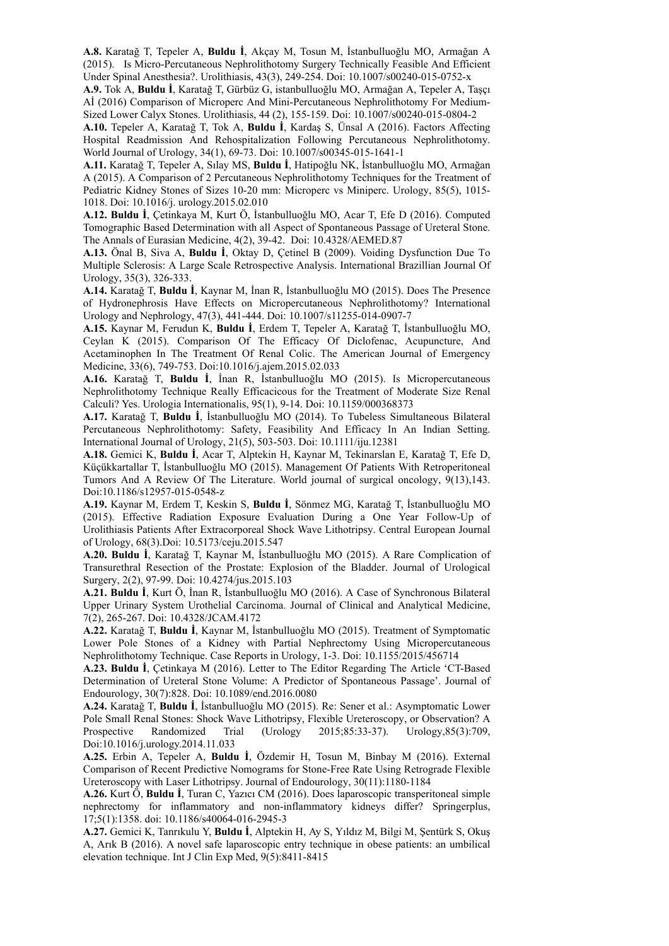**A.8.** Karatağ T, Tepeler A, **Buldu İ**, Akçay M, Tosun M, İstanbulluoğlu MO, Armağan A (2015). Is Micro-Percutaneous Nephrolithotomy Surgery Technically Feasible And Efficient Under Spinal Anesthesia?. Urolithiasis, 43(3), 249-254. Doi: 10.1007/s00240-015-0752-x

**A.9.** Tok A, **Buldu İ**, Karatağ T, Gürbüz G, istanbulluoğlu MO, Armağan A, Tepeler A, Taşçı Aİ (2016) Comparison of Microperc And Mini-Percutaneous Nephrolithotomy For Medium-Sized Lower Calyx Stones. Urolithiasis, 44 (2), 155-159. Doi: 10.1007/s00240-015-0804-2

**A.10.** Tepeler A, Karatağ T, Tok A, **Buldu İ**, Kardaş S, Ünsal A (2016). Factors Affecting Hospital Readmission And Rehospitalization Following Percutaneous Nephrolithotomy. World Journal of Urology, 34(1), 69-73. Doi: 10.1007/s00345-015-1641-1

**A.11.** Karatağ T, Tepeler A, Sılay MS, **Buldu İ**, Hatipoğlu NK, İstanbulluoğlu MO, Armağan A (2015). A Comparison of 2 Percutaneous Nephrolithotomy Techniques for the Treatment of Pediatric Kidney Stones of Sizes 10-20 mm: Microperc vs Miniperc. Urology, 85(5), 1015- 1018. Doi: 10.1016/j. urology.2015.02.010

**A.12. Buldu İ**, Çetinkaya M, Kurt Ö, İstanbulluoğlu MO, Acar T, Efe D (2016). Computed Tomographic Based Determination with all Aspect of Spontaneous Passage of Ureteral Stone. The Annals of Eurasian Medicine, 4(2), 39-42. Doi: 10.4328/AEMED.87

**A.13.** Önal B, Siva A, **Buldu İ**, Oktay D, Çetinel B (2009). Voiding Dysfunction Due To Multiple Sclerosis: A Large Scale Retrospective Analysis. International Brazillian Journal Of Urology, 35(3), 326-333.

**A.14.** Karatağ T, **Buldu İ**, Kaynar M, İnan R, İstanbulluoğlu MO (2015). Does The Presence of Hydronephrosis Have Effects on Micropercutaneous Nephrolithotomy? International Urology and Nephrology, 47(3), 441-444. Doi: 10.1007/s11255-014-0907-7

**A.15.** Kaynar M, Ferudun K, **Buldu İ**, Erdem T, Tepeler A, Karatağ T, İstanbulluoğlu MO, Ceylan K (2015). Comparison Of The Efficacy Of Diclofenac, Acupuncture, And Acetaminophen In The Treatment Of Renal Colic. The American Journal of Emergency Medicine, 33(6), 749-753. Doi:10.1016/j.ajem.2015.02.033

**A.16.** Karatağ T, **Buldu İ**, İnan R, İstanbulluoğlu MO (2015). Is Micropercutaneous Nephrolithotomy Technique Really Efficacicous for the Treatment of Moderate Size Renal Calculi? Yes. Urologia Internationalis, 95(1), 9-14. Doi: 10.1159/000368373

**A.17.** Karatağ T, **Buldu İ**, İstanbulluoğlu MO (2014). To Tubeless Simultaneous Bilateral Percutaneous Nephrolithotomy: Safety, Feasibility And Efficacy In An Indian Setting. International Journal of Urology, 21(5), 503-503. Doi: 10.1111/iju.12381

**A.18.** Gemici K, **Buldu İ**, Acar T, Alptekin H, Kaynar M, Tekinarslan E, Karatağ T, Efe D, Küçükkartallar T, İstanbulluoğlu MO (2015). Management Of Patients With Retroperitoneal Tumors And A Review Of The Literature. World journal of surgical oncology, 9(13),143. Doi:10.1186/s12957-015-0548-z

**A.19.** Kaynar M, Erdem T, Keskin S, **Buldu İ**, Sönmez MG, Karatağ T, İstanbulluoğlu MO (2015). Effective Radiation Exposure Evaluation During a One Year Follow-Up of Urolithiasis Patients After Extracorporeal Shock Wave Lithotripsy. Central European Journal of Urology, 68(3).Doi: 10.5173/ceju.2015.547

**A.20. Buldu İ**, Karatağ T, Kaynar M, İstanbulluoğlu MO (2015). A Rare Complication of Transurethral Resection of the Prostate: Explosion of the Bladder. Journal of Urological Surgery, 2(2), 97-99. Doi: 10.4274/jus.2015.103

**A.21. Buldu İ**, Kurt Ö, İnan R, İstanbulluoğlu MO (2016). A Case of Synchronous Bilateral Upper Urinary System Urothelial Carcinoma. Journal of Clinical and Analytical Medicine, 7(2), 265-267. Doi: 10.4328/JCAM.4172

**A.22.** Karatağ T, **Buldu İ**, Kaynar M, İstanbulluoğlu MO (2015). Treatment of Symptomatic Lower Pole Stones of a Kidney with Partial Nephrectomy Using Micropercutaneous Nephrolithotomy Technique. Case Reports in Urology, 1-3. Doi: 10.1155/2015/456714

**A.23. Buldu İ**, Çetinkaya M (2016). Letter to The Editor Regarding The Article 'CT-Based Determination of Ureteral Stone Volume: A Predictor of Spontaneous Passage'. Journal of Endourology, 30(7):828. Doi: 10.1089/end.2016.0080

**A.24.** Karatağ T, **Buldu İ**, İstanbulluoğlu MO (2015). Re: Sener et al.: Asymptomatic Lower Pole Small Renal Stones: Shock Wave Lithotripsy, Flexible Ureteroscopy, or Observation? A Prospective Randomized Trial (Urology 2015;85:33-37). Urology,85(3):709, Doi:10.1016/j.urology.2014.11.033

**A.25.** Erbin A, Tepeler A, **Buldu İ**, Özdemir H, Tosun M, Binbay M (2016). External Comparison of Recent Predictive Nomograms for Stone-Free Rate Using Retrograde Flexible Ureteroscopy with Laser Lithotripsy. Journal of Endourology, 30(11):1180-1184

**A.26.** Kurt Ö, **Buldu İ**, Turan C, Yazıcı CM (2016). Does laparoscopic transperitoneal simple nephrectomy for inflammatory and non-inflammatory kidneys differ? Springerplus, 17;5(1):1358. doi: 10.1186/s40064-016-2945-3

**A.27.** Gemici K, Tanrıkulu Y, **Buldu İ**, Alptekin H, Ay S, Yıldız M, Bilgi M, Şentürk S, Okuş A, Arık B (2016). A novel safe laparoscopic entry technique in obese patients: an umbilical elevation technique. Int J Clin Exp Med, 9(5):8411-8415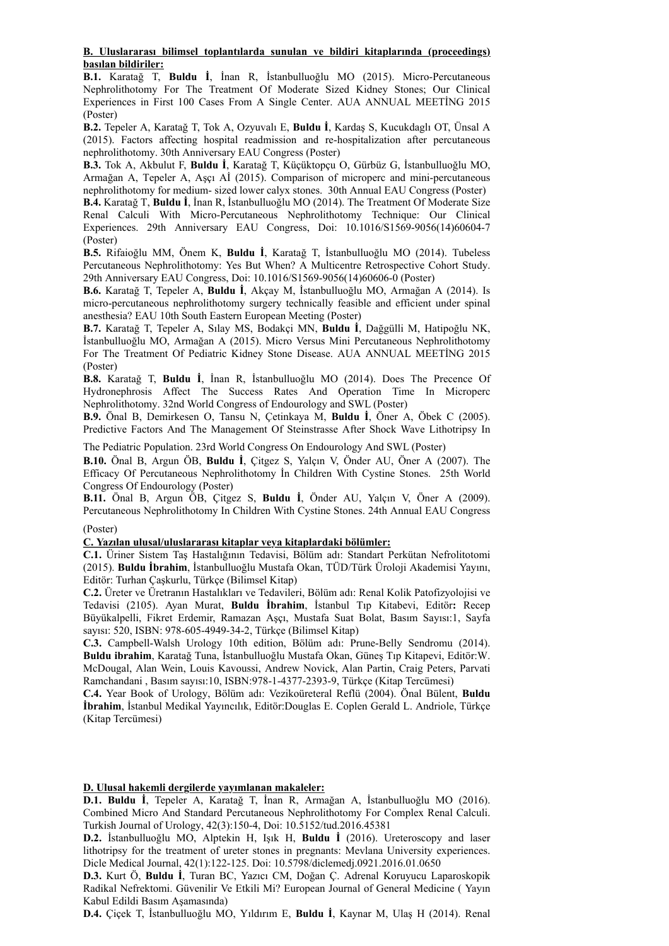#### **B. Uluslararası bilimsel toplantılarda sunulan ve bildiri kitaplarında (proceedings) basılan bildiriler:**

**B.1.** Karatağ T, **Buldu İ**, İnan R, İstanbulluoğlu MO (2015). Micro-Percutaneous Nephrolithotomy For The Treatment Of Moderate Sized Kidney Stones; Our Clinical Experiences in First 100 Cases From A Single Center. AUA ANNUAL MEETİNG 2015 (Poster)

**B.2.** Tepeler A, Karatağ T, Tok A, Ozyuvalı E, **Buldu İ**, Kardaş S, Kucukdaglı OT, Ünsal A (2015). Factors affecting hospital readmission and re-hospitalization after percutaneous nephrolithotomy. 30th Anniversary EAU Congress (Poster)

**B.3.** Tok A, Akbulut F, **Buldu İ**, Karatağ T, Küçüktopçu O, Gürbüz G, İstanbulluoğlu MO, Armağan A, Tepeler A, Aşçı Aİ (2015). Comparison of microperc and mini-percutaneous nephrolithotomy for medium- sized lower calyx stones. 30th Annual EAU Congress (Poster)

**B.4.** Karatağ T, **Buldu İ**, İnan R, İstanbulluoğlu MO (2014). The Treatment Of Moderate Size Renal Calculi With Micro-Percutaneous Nephrolithotomy Technique: Our Clinical Experiences. 29th Anniversary EAU Congress, Doi: 10.1016/S1569-9056(14)60604-7 (Poster)

**B.5.** Rifaioğlu MM, Önem K, **Buldu İ**, Karatağ T, İstanbulluoğlu MO (2014). Tubeless Percutaneous Nephrolithotomy: Yes But When? A Multicentre Retrospective Cohort Study. 29th Anniversary EAU Congress, Doi: 10.1016/S1569-9056(14)60606-0 (Poster)

**B.6.** Karatağ T, Tepeler A, **Buldu İ**, Akçay M, İstanbulluoğlu MO, Armağan A (2014). Is micro-percutaneous nephrolithotomy surgery technically feasible and efficient under spinal anesthesia? EAU 10th South Eastern European Meeting (Poster)

**B.7.** Karatağ T, Tepeler A, Sılay MS, Bodakçi MN, **Buldu İ**, Dağgülli M, Hatipoğlu NK, İstanbulluoğlu MO, Armağan A (2015). Micro Versus Mini Percutaneous Nephrolithotomy For The Treatment Of Pediatric Kidney Stone Disease. AUA ANNUAL MEETİNG 2015 (Poster)

**B.8.** Karatağ T, **Buldu İ**, İnan R, İstanbulluoğlu MO (2014). Does The Precence Of Hydronephrosis Affect The Success Rates And Operation Time In Microperc Nephrolithotomy. 32nd World Congress of Endourology and SWL (Poster)

**B.9.** Önal B, Demirkesen O, Tansu N, Çetinkaya M, **Buldu İ**, Öner A, Öbek C (2005). Predictive Factors And The Management Of Steinstrasse After Shock Wave Lithotripsy In

The Pediatric Population. 23rd World Congress On Endourology And SWL (Poster)

**B.10.** Önal B, Argun ÖB, **Buldu İ**, Çitgez S, Yalçın V, Önder AU, Öner A (2007). The Efficacy Of Percutaneous Nephrolithotomy İn Children With Cystine Stones. 25th World Congress Of Endourology (Poster)

**B.11.** Önal B, Argun ÖB, Çitgez S, **Buldu İ**, Önder AU, Yalçın V, Öner A (2009). Percutaneous Nephrolithotomy In Children With Cystine Stones. 24th Annual EAU Congress

## (Poster)

## **C. Yazılan ulusal/uluslararası kitaplar veya kitaplardaki bölümler:**

**C.1.** Üriner Sistem Taş Hastalığının Tedavisi, Bölüm adı: Standart Perkütan Nefrolitotomi (2015). **Buldu İbrahim**, İstanbulluoğlu Mustafa Okan, TÜD/Türk Üroloji Akademisi Yayını, Editör: Turhan Çaşkurlu, Türkçe (Bilimsel Kitap)

**C.2.** Üreter ve Üretranın Hastalıkları ve Tedavileri, Bölüm adı: Renal Kolik Patofizyolojisi ve Tedavisi (2105). Ayan Murat, **Buldu İbrahim**, İstanbul Tıp Kitabevi, Editör**:** Recep Büyükalpelli, Fikret Erdemir, Ramazan Aşçı, Mustafa Suat Bolat, Basım Sayısı:1, Sayfa sayısı: 520, ISBN: 978-605-4949-34-2, Türkçe (Bilimsel Kitap)

**C.3.** Campbell-Walsh Urology 10th edition, Bölüm adı: Prune-Belly Sendromu (2014). **Buldu ibrahim**, Karatağ Tuna, İstanbulluoğlu Mustafa Okan, Güneş Tıp Kitapevi, Editör:W. McDougal, Alan Wein, Louis Kavoussi, Andrew Novick, Alan Partin, Craig Peters, Parvati Ramchandani , Basım sayısı:10, ISBN:978-1-4377-2393-9, Türkçe (Kitap Tercümesi)

**C.4.** Year Book of Urology, Bölüm adı: Vezikoüreteral Reflü (2004). Önal Bülent, **Buldu İbrahim**, İstanbul Medikal Yayıncılık, Editör:Douglas E. Coplen Gerald L. Andriole, Türkçe (Kitap Tercümesi)

**D. Ulusal hakemli dergilerde yayımlanan makaleler:**

**D.1. Buldu İ**, Tepeler A, Karatağ T, İnan R, Armağan A, İstanbulluoğlu MO (2016). Combined Micro And Standard Percutaneous Nephrolithotomy For Complex Renal Calculi. Turkish Journal of Urology, 42(3):150-4, Doi: 10.5152/tud.2016.45381

**D.2.** İstanbulluoğlu MO, Alptekin H, Işık H, **Buldu İ** (2016). Ureteroscopy and laser lithotripsy for the treatment of ureter stones in pregnants: Mevlana University experiences. Dicle Medical Journal, 42(1):122-125. Doi: 10.5798/diclemedj.0921.2016.01.0650

**D.3.** Kurt Ö, **Buldu İ**, Turan BC, Yazıcı CM, Doğan Ç. Adrenal Koruyucu Laparoskopik Radikal Nefrektomi. Güvenilir Ve Etkili Mi? European Journal of General Medicine ( Yayın Kabul Edildi Basım Aşamasında)

**D.4.** Çiçek T, İstanbulluoğlu MO, Yıldırım E, **Buldu İ**, Kaynar M, Ulaş H (2014). Renal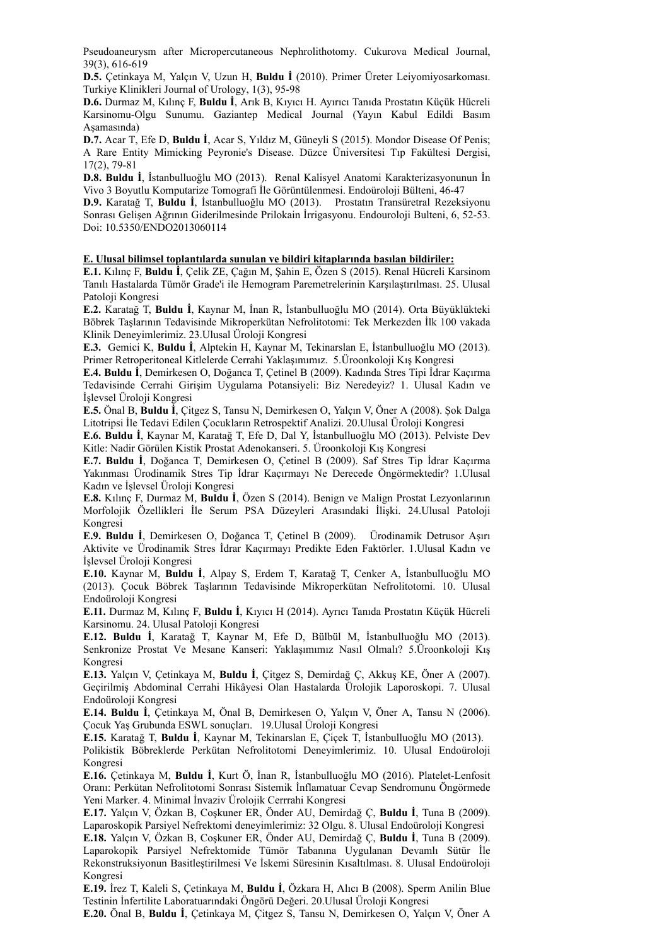Pseudoaneurysm after Micropercutaneous Nephrolithotomy. Cukurova Medical Journal, 39(3), 616-619

**D.5.** Çetinkaya M, Yalçın V, Uzun H, **Buldu İ** (2010). Primer Üreter Leiyomiyosarkoması. Turkiye Klinikleri Journal of Urology, 1(3), 95-98

**D.6.** Durmaz M, Kılınç F, **Buldu İ**, Arık B, Kıyıcı H. Ayırıcı Tanıda Prostatın Küçük Hücreli Karsinomu-Olgu Sunumu. Gaziantep Medical Journal (Yayın Kabul Edildi Basım Aşamasında)

**D.7.** Acar T, Efe D, **Buldu İ**, Acar S, Yıldız M, Güneyli S (2015). Mondor Disease Of Penis; A Rare Entity Mimicking Peyronie's Disease. Düzce Üniversitesi Tıp Fakültesi Dergisi, 17(2), 79-81

**D.8. Buldu İ**, İstanbulluoğlu MO (2013). Renal Kalisyel Anatomi Karakterizasyonunun İn Vivo 3 Boyutlu Komputarize Tomografi İle Görüntülenmesi. Endoüroloji Bülteni, 46-47

**D.9.** Karatağ T, **Buldu İ**, İstanbulluoğlu MO (2013). Prostatın Transüretral Rezeksiyonu Sonrası Gelişen Ağrının Giderilmesinde Prilokain İrrigasyonu. Endouroloji Bulteni, 6, 52-53. Doi: 10.5350/ENDO2013060114

#### **E. Ulusal bilimsel toplantılarda sunulan ve bildiri kitaplarında basılan bildiriler:**

**E.1.** Kılınç F, **Buldu İ**, Çelik ZE, Çağın M, Şahin E, Özen S (2015). Renal Hücreli Karsinom Tanılı Hastalarda Tümör Grade'i ile Hemogram Paremetrelerinin Karşılaştırılması. 25. Ulusal Patoloji Kongresi

**E.2.** Karatağ T, **Buldu İ**, Kaynar M, İnan R, İstanbulluoğlu MO (2014). Orta Büyüklükteki Böbrek Taşlarının Tedavisinde Mikroperkütan Nefrolitotomi: Tek Merkezden İlk 100 vakada Klinik Deneyimlerimiz. 23.Ulusal Üroloji Kongresi

**E.3.** Gemici K, **Buldu İ**, Alptekin H, Kaynar M, Tekinarslan E, İstanbulluoğlu MO (2013). Primer Retroperitoneal Kitlelerde Cerrahi Yaklaşımımız. 5.Üroonkoloji Kış Kongresi

**E.4. Buldu İ**, Demirkesen O, Doğanca T, Çetinel B (2009). Kadında Stres Tipi İdrar Kaçırma Tedavisinde Cerrahi Girişim Uygulama Potansiyeli: Biz Neredeyiz? 1. Ulusal Kadın ve İşlevsel Üroloji Kongresi

**E.5.** Önal B, **Buldu İ**, Çitgez S, Tansu N, Demirkesen O, Yalçın V, Öner A (2008). Şok Dalga Litotripsi İle Tedavi Edilen Çocukların Retrospektif Analizi. 20.Ulusal Üroloji Kongresi

**E.6. Buldu İ**, Kaynar M, Karatağ T, Efe D, Dal Y, İstanbulluoğlu MO (2013). Pelviste Dev Kitle: Nadir Görülen Kistik Prostat Adenokanseri. 5. Üroonkoloji Kış Kongresi

**E.7. Buldu İ**, Doğanca T, Demirkesen O, Çetinel B (2009). Saf Stres Tip İdrar Kaçırma Yakınması Ürodinamik Stres Tip İdrar Kaçırmayı Ne Derecede Öngörmektedir? 1.Ulusal Kadın ve İşlevsel Üroloji Kongresi

**E.8.** Kılınç F, Durmaz M, **Buldu İ**, Özen S (2014). Benign ve Malign Prostat Lezyonlarının Morfolojik Özellikleri İle Serum PSA Düzeyleri Arasındaki İlişki. 24.Ulusal Patoloji Kongresi

**E.9. Buldu İ**, Demirkesen O, Doğanca T, Çetinel B (2009). Ürodinamik Detrusor Aşırı Aktivite ve Ürodinamik Stres İdrar Kaçırmayı Predikte Eden Faktörler. 1.Ulusal Kadın ve İşlevsel Üroloji Kongresi

**E.10.** Kaynar M, **Buldu İ**, Alpay S, Erdem T, Karatağ T, Cenker A, İstanbulluoğlu MO (2013). Çocuk Böbrek Taşlarının Tedavisinde Mikroperkütan Nefrolitotomi. 10. Ulusal Endoüroloji Kongresi

**E.11.** Durmaz M, Kılınç F, **Buldu İ**, Kıyıcı H (2014). Ayrıcı Tanıda Prostatın Küçük Hücreli Karsinomu. 24. Ulusal Patoloji Kongresi

**E.12. Buldu İ**, Karatağ T, Kaynar M, Efe D, Bülbül M, İstanbulluoğlu MO (2013). Senkronize Prostat Ve Mesane Kanseri: Yaklaşımımız Nasıl Olmalı? 5.Üroonkoloji Kış Kongresi

**E.13.** Yalçın V, Çetinkaya M, **Buldu İ**, Çitgez S, Demirdağ Ç, Akkuş KE, Öner A (2007). Geçirilmiş Abdominal Cerrahi Hikâyesi Olan Hastalarda Ürolojik Laporoskopi. 7. Ulusal Endoüroloji Kongresi

**E.14. Buldu İ**, Çetinkaya M, Önal B, Demirkesen O, Yalçın V, Öner A, Tansu N (2006). Çocuk Yaş Grubunda ESWL sonuçları. 19.Ulusal Üroloji Kongresi

**E.15.** Karatağ T, **Buldu İ**, Kaynar M, Tekinarslan E, Çiçek T, İstanbulluoğlu MO (2013).

Polikistik Böbreklerde Perkütan Nefrolitotomi Deneyimlerimiz. 10. Ulusal Endoüroloji Kongresi

**E.16.** Çetinkaya M, **Buldu İ**, Kurt Ö, İnan R, İstanbulluoğlu MO (2016). Platelet-Lenfosit Oranı: Perkütan Nefrolitotomi Sonrası Sistemik İnflamatuar Cevap Sendromunu Öngörmede Yeni Marker. 4. Minimal İnvaziv Ürolojik Cerrrahi Kongresi

**E.17.** Yalçın V, Özkan B, Coşkuner ER, Önder AU, Demirdağ Ç, **Buldu İ**, Tuna B (2009). Laparoskopik Parsiyel Nefrektomi deneyimlerimiz: 32 Olgu. 8. Ulusal Endoüroloji Kongresi

**E.18.** Yalçın V, Özkan B, Coşkuner ER, Önder AU, Demirdağ Ç, **Buldu İ**, Tuna B (2009). Laparokopik Parsiyel Nefrektomide Tümör Tabanına Uygulanan Devamlı Sütür İle Rekonstruksiyonun Basitleştirilmesi Ve İskemi Süresinin Kısaltılması. 8. Ulusal Endoüroloji Kongresi

**E.19.** İrez T, Kaleli S, Çetinkaya M, **Buldu İ**, Özkara H, Alıcı B (2008). Sperm Anilin Blue Testinin İnfertilite Laboratuarındaki Öngörü Değeri. 20.Ulusal Üroloji Kongresi

**E.20.** Önal B, **Buldu İ**, Çetinkaya M, Çitgez S, Tansu N, Demirkesen O, Yalçın V, Öner A